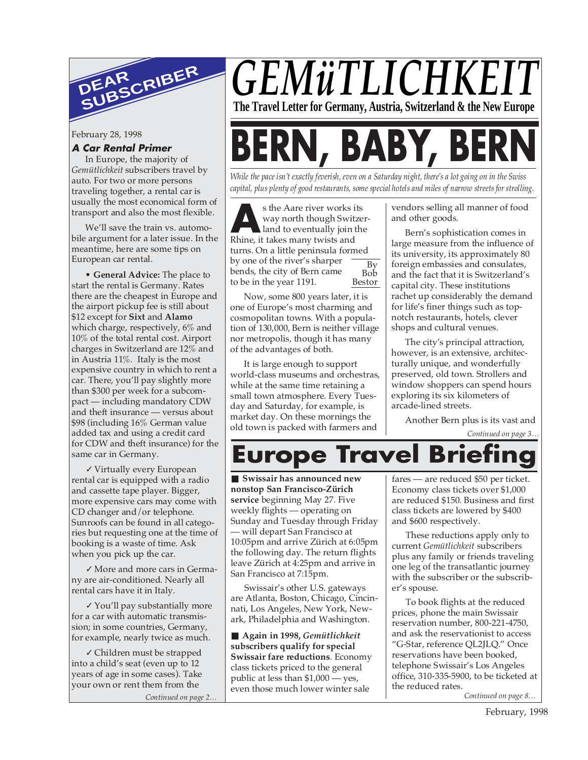

February 28, 1998

#### **A Car Rental Primer**

In Europe, the majority of *Gemütlichkeit* subscribers travel by auto. For two or more persons traveling together, a rental car is usually the most economical form of transport and also the most flexible.

We'll save the train vs. automobile argument for a later issue. In the meantime, here are some tips on European car rental.

• **General Advice:** The place to start the rental is Germany. Rates there are the cheapest in Europe and the airport pickup fee is still about \$12 except for **Sixt** and **Alamo** which charge, respectively, 6% and 10% of the total rental cost. Airport charges in Switzerland are 12% and in Austria 11%. Italy is the most expensive country in which to rent a car. There, you'll pay slightly more than \$300 per week for a subcompact — including mandatory CDW and theft insurance — versus about \$98 (including 16% German value added tax and using a credit card for CDW and theft insurance) for the same car in Germany.

✓ Virtually every European rental car is equipped with a radio and cassette tape player. Bigger, more expensive cars may come with CD changer and/or telephone. Sunroofs can be found in all categories but requesting one at the time of booking is a waste of time. Ask when you pick up the car.

✓ More and more cars in Germany are air-conditioned. Nearly all rental cars have it in Italy.

✓ You'll pay substantially more for a car with automatic transmission; in some countries, Germany, for example, nearly twice as much.

✓ Children must be strapped into a child's seat (even up to 12 years of age in some cases). Take your own or rent them from the

## *GEMüTLICHKE* **The Travel Letter for Germany, Austria, Switzerland & the New Europe**

# **BABY, B**

*While the pace isn't exactly feverish, even on a Saturday night, there's a lot going on in the Swiss capital, plus plenty of good restaurants, some special hotels and miles of narrow streets for strolling.*

**A**<br> **A** Rhine, it takes many twists and the ventually join Rhine, it takes many twists and s the Aare river works its way north though Switzerland to eventually join the turns. On a little peninsula formed by one of the river's sharper bends, the city of Bern came to be in the year 1191. By Bob Bestor

Now, some 800 years later, it is one of Europe's most charming and cosmopolitan towns. With a population of 130,000, Bern is neither village nor metropolis, though it has many of the advantages of both.

It is large enough to support world-class museums and orchestras, while at the same time retaining a small town atmosphere. Every Tuesday and Saturday, for example, is market day. On these mornings the old town is packed with farmers and

vendors selling all manner of food and other goods.

Bern's sophistication comes in large measure from the influence of its university, its approximately 80 foreign embassies and consulates, and the fact that it is Switzerland's capital city. These institutions rachet up considerably the demand for life's finer things such as topnotch restaurants, hotels, clever shops and cultural venues.

The city's principal attraction, however, is an extensive, architecturally unique, and wonderfully preserved, old town. Strollers and window shoppers can spend hours exploring its six kilometers of arcade-lined streets.

Another Bern plus is its vast and

*Continued on page 3…*



■ Swissair has announced new **nonstop San Francisco-Zürich service** beginning May 27. Five weekly flights — operating on Sunday and Tuesday through Friday will depart San Francisco at 10:05pm and arrive Zürich at 6:05pm the following day. The return flights leave Zürich at 4:25pm and arrive in San Francisco at 7:15pm.

Swissair's other U.S. gateways are Atlanta, Boston, Chicago, Cincinnati, Los Angeles, New York, Newark, Philadelphia and Washington.

■ **Again in 1998, Gemütlichkeit subscribers qualify for special Swissair fare reductions**. Economy class tickets priced to the general public at less than \$1,000 — yes, even those much lower winter sale

fares — are reduced \$50 per ticket. Economy class tickets over \$1,000 are reduced \$150. Business and first class tickets are lowered by \$400 and \$600 respectively.

These reductions apply only to current *Gemütlichkeit* subscribers plus any family or friends traveling one leg of the transatlantic journey with the subscriber or the subscriber's spouse.

To book flights at the reduced prices, phone the main Swissair reservation number, 800-221-4750, and ask the reservationist to access "G-Star, reference QL2JLQ." Once reservations have been booked, telephone Swissair's Los Angeles office, 310-335-5900, to be ticketed at the reduced rates.

*Continued on page 2… Continued on page 8…*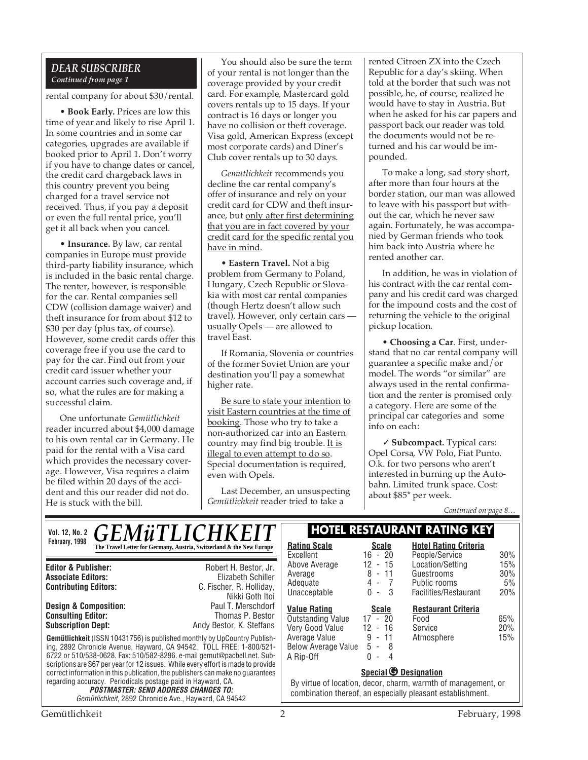#### *DEAR SUBSCRIBER Continued from page 1*

rental company for about \$30/rental.

• **Book Early.** Prices are low this time of year and likely to rise April 1. In some countries and in some car categories, upgrades are available if booked prior to April 1. Don't worry if you have to change dates or cancel, the credit card chargeback laws in this country prevent you being charged for a travel service not received. Thus, if you pay a deposit or even the full rental price, you'll get it all back when you cancel.

• **Insurance.** By law, car rental companies in Europe must provide third-party liability insurance, which is included in the basic rental charge. The renter, however, is responsible for the car. Rental companies sell CDW (collision damage waiver) and theft insurance for from about \$12 to \$30 per day (plus tax, of course). However, some credit cards offer this coverage free if you use the card to pay for the car. Find out from your credit card issuer whether your account carries such coverage and, if so, what the rules are for making a successful claim.

One unfortunate *Gemütlichkeit* reader incurred about \$4,000 damage to his own rental car in Germany. He paid for the rental with a Visa card which provides the necessary coverage. However, Visa requires a claim be filed within 20 days of the accident and this our reader did not do. He is stuck with the bill.

You should also be sure the term of your rental is not longer than the coverage provided by your credit card. For example, Mastercard gold covers rentals up to 15 days. If your contract is 16 days or longer you have no collision or theft coverage. Visa gold, American Express (except most corporate cards) and Diner's Club cover rentals up to 30 days.

*Gemütlichkeit* recommends you decline the car rental company's offer of insurance and rely on your credit card for CDW and theft insurance, but only after first determining that you are in fact covered by your credit card for the specific rental you have in mind.

• **Eastern Travel.** Not a big problem from Germany to Poland, Hungary, Czech Republic or Slovakia with most car rental companies (though Hertz doesn't allow such travel). However, only certain cars usually Opels — are allowed to travel East.

If Romania, Slovenia or countries of the former Soviet Union are your destination you'll pay a somewhat higher rate.

Be sure to state your intention to visit Eastern countries at the time of booking. Those who try to take a non-authorized car into an Eastern country may find big trouble. It is illegal to even attempt to do so. Special documentation is required, even with Opels.

Last December, an unsuspecting *Gemütlichkeit* reader tried to take a

rented Citroen ZX into the Czech Republic for a day's skiing. When told at the border that such was not possible, he, of course, realized he would have to stay in Austria. But when he asked for his car papers and passport back our reader was told the documents would not be returned and his car would be impounded.

To make a long, sad story short, after more than four hours at the border station, our man was allowed to leave with his passport but without the car, which he never saw again. Fortunately, he was accompanied by German friends who took him back into Austria where he rented another car.

In addition, he was in violation of his contract with the car rental company and his credit card was charged for the impound costs and the cost of returning the vehicle to the original pickup location.

• **Choosing a Car**. First, understand that no car rental company will guarantee a specific make and/or model. The words "or similar" are always used in the rental confirmation and the renter is promised only a category. Here are some of the principal car categories and some info on each:

✓ **Subcompact.** Typical cars: Opel Corsa, VW Polo, Fiat Punto. O.k. for two persons who aren't interested in burning up the Autobahn. Limited trunk space. Cost: about \$85\* per week.

*Continued on page 8…*

| <i><b>GEMüTLICHKEIT</b></i><br><b>Vol. 12, No. 2</b>                                                                                                                                                                                                                                                                                                                                                                                                                                        | <b>HOTEL RESTAURANT RATING KEY</b>                                                                                                                          |                                                                                          |                                                                         |                         |  |
|---------------------------------------------------------------------------------------------------------------------------------------------------------------------------------------------------------------------------------------------------------------------------------------------------------------------------------------------------------------------------------------------------------------------------------------------------------------------------------------------|-------------------------------------------------------------------------------------------------------------------------------------------------------------|------------------------------------------------------------------------------------------|-------------------------------------------------------------------------|-------------------------|--|
| February, 1998<br>The Travel Letter for Germany, Austria, Switzerland & the New Europe                                                                                                                                                                                                                                                                                                                                                                                                      | <b>Rating Scale</b><br>Excellent                                                                                                                            | <b>Scale</b><br>$16 - 20$                                                                | <b>Hotel Rating Criteria</b><br>People/Service                          | 30%                     |  |
| Robert H. Bestor, Jr.<br><b>Editor &amp; Publisher:</b><br>Elizabeth Schiller<br><b>Associate Editors:</b><br><b>Contributing Editors:</b><br>C. Fischer, R. Holliday,<br>Nikki Goth Itoi                                                                                                                                                                                                                                                                                                   | Above Average<br>Average<br>Adequate<br>Unacceptable                                                                                                        | - 15<br>12<br>$8 - 11$<br>4 -<br>$\overline{7}$<br>$0 - 3$                               | Location/Setting<br>Guestrooms<br>Public rooms<br>Facilities/Restaurant | 15%<br>30%<br>5%<br>20% |  |
| <b>Design &amp; Composition:</b><br>Paul T. Merschdorf<br><b>Consulting Editor:</b><br>Thomas P. Bestor<br><b>Subscription Dept:</b><br>Andy Bestor, K. Steffans<br><b>Gemütlichkeit</b> (ISSN 10431756) is published monthly by UpCountry Publish-<br>ing, 2892 Chronicle Avenue, Hayward, CA 94542. TOLL FREE: 1-800/521-<br>6722 or 510/538-0628. Fax: 510/582-8296. e-mail gemut@pacbell.net. Sub-<br>scriptions are \$67 per year for 12 issues. While every effort is made to provide | <b>Value Rating</b><br>Outstanding Value<br>Very Good Value<br>Average Value<br><b>Below Average Value</b><br>A Rip-Off                                     | <b>Scale</b><br>$17 - 20$<br>$12 - 16$<br>$9 - 11$<br>$5 - 8$<br>$0 -$<br>$\overline{4}$ | <b>Restaurant Criteria</b><br>Food<br>Service<br>Atmosphere             | 65%<br>20%<br>15%       |  |
| correct information in this publication, the publishers can make no quarantees<br>regarding accuracy. Periodicals postage paid in Hayward, CA.<br><b>POSTMASTER: SEND ADDRESS CHANGES TO:</b><br>Gemütlichkeit, 2892 Chronicle Ave., Hayward, CA 94542                                                                                                                                                                                                                                      | Special <b>O</b> Designation<br>By virtue of location, decor, charm, warmth of management, or<br>combination thereof, an especially pleasant establishment. |                                                                                          |                                                                         |                         |  |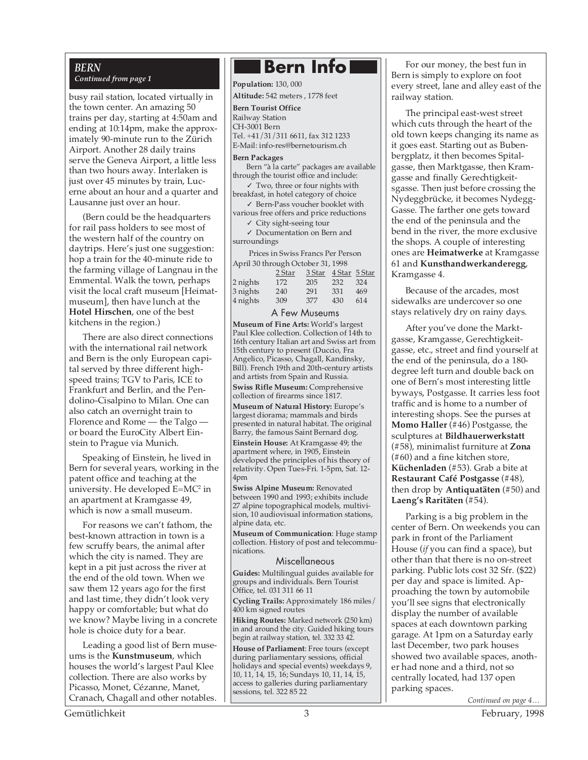#### *BERN Continued from page 1*

busy rail station, located virtually in the town center. An amazing 50 trains per day, starting at 4:50am and ending at 10:14pm, make the approximately 90-minute run to the Zürich Airport. Another 28 daily trains serve the Geneva Airport, a little less than two hours away. Interlaken is just over 45 minutes by train, Lucerne about an hour and a quarter and Lausanne just over an hour.

(Bern could be the headquarters for rail pass holders to see most of the western half of the country on daytrips. Here's just one suggestion: hop a train for the 40-minute ride to the farming village of Langnau in the Emmental. Walk the town, perhaps visit the local craft museum [Heimatmuseum], then have lunch at the **Hotel Hirschen**, one of the best kitchens in the region.)

There are also direct connections with the international rail network and Bern is the only European capital served by three different highspeed trains; TGV to Paris, ICE to Frankfurt and Berlin, and the Pendolino-Cisalpino to Milan. One can also catch an overnight train to Florence and Rome — the Talgo or board the EuroCity Albert Einstein to Prague via Munich.

Speaking of Einstein, he lived in Bern for several years, working in the patent office and teaching at the university. He developed E=MC2 in an apartment at Kramgasse 49, which is now a small museum.

For reasons we can't fathom, the best-known attraction in town is a few scruffy bears, the animal after which the city is named. They are kept in a pit just across the river at the end of the old town. When we saw them 12 years ago for the first and last time, they didn't look very happy or comfortable; but what do we know? Maybe living in a concrete hole is choice duty for a bear.

Leading a good list of Bern museums is the **Kunstmuseum**, which houses the world's largest Paul Klee collection. There are also works by Picasso, Monet, Cézanne, Manet, Cranach, Chagall and other notables.

### **Bern Info**

**Population:** 130, 000

**Altitude:** 542 meters , 1778 feet

#### **Bern Tourist Office** Railway Station

CH-3001 Bern

Tel. +41/31/311 6611, fax 312 1233 E-Mail: info-res@bernetourism.ch

#### **Bern Packages**

Bern "à la carte" packages are available through the tourist office and include:

 $\sqrt{\ }$  Two, three or four nights with breakfast, in hotel category of choice ✓ Bern-Pass voucher booklet with

various free offers and price reductions ✓ City sight-seeing tour

✓ Documentation on Bern and surroundings

Prices in Swiss Francs Per Person April 30 through October 31, 1998

|          | 2 Star | 3 Star | 4 Star 5 Star |     |  |  |  |  |
|----------|--------|--------|---------------|-----|--|--|--|--|
| 2 nights | 172    | 205    | 232           | 324 |  |  |  |  |
| 3 nights | 240    | 291    | 331           | 469 |  |  |  |  |
| 4 nights | 309    | 377    | 430           | 614 |  |  |  |  |
|          |        |        |               |     |  |  |  |  |

#### A Few Museums

**Museum of Fine Arts:** World's largest Paul Klee collection. Collection of 14th to 16th century Italian art and Swiss art from 15th century to present (Duccio, Fra Angelico, Picasso, Chagall, Kandinsky, Bill). French 19th and 20th-century artists and artists from Spain and Russia.

**Swiss Rifle Museum:** Comprehensive collection of firearms since 1817.

**Museum of Natural History:** Europe's largest diorama; mammals and birds presented in natural habitat. The original Barry, the famous Saint Bernard dog.

**Einstein House:** At Kramgasse 49; the apartment where, in 1905, Einstein developed the principles of his theory of relativity. Open Tues-Fri. 1-5pm, Sat. 12- 4pm

**Swiss Alpine Museum:** Renovated between 1990 and 1993; exhibits include 27 alpine topographical models, multivision, 10 audiovisual information stations, alpine data, etc.

**Museum of Communication**: Huge stamp collection. History of post and telecommunications.

#### Miscellaneous

**Guides:** Multilingual guides available for groups and individuals. Bern Tourist Office, tel. 031 311 66 11

**Cycling Trails:** Approximately 186 miles/ 400 km signed routes

**Hiking Routes:** Marked network (250 km) in and around the city. Guided hiking tours begin at railway station, tel. 332 33 42.

**House of Parliament**: Free tours (except during parliamentary sessions, official holidays and special events) weekdays 9, 10, 11, 14, 15, 16; Sundays 10, 11, 14, 15, access to galleries during parliamentary sessions, tel. 322 85 22

For our money, the best fun in Bern is simply to explore on foot every street, lane and alley east of the railway station.

The principal east-west street which cuts through the heart of the old town keeps changing its name as it goes east. Starting out as Bubenbergplatz, it then becomes Spitalgasse, then Marktgasse, then Kramgasse and finally Gerechtigkeitsgasse. Then just before crossing the Nydeggbrücke, it becomes Nydegg-Gasse. The farther one gets toward the end of the peninsula and the bend in the river, the more exclusive the shops. A couple of interesting ones are **Heimatwerke** at Kramgasse 61 and **Kunsthandwerkanderegg**, Kramgasse 4.

Because of the arcades, most sidewalks are undercover so one stays relatively dry on rainy days.

After you've done the Marktgasse, Kramgasse, Gerechtigkeitgasse, etc., street and find yourself at the end of the peninsula, do a 180 degree left turn and double back on one of Bern's most interesting little byways, Postgasse. It carries less foot traffic and is home to a number of interesting shops. See the purses at **Momo Haller** (#46) Postgasse, the sculptures at **Bildhauerwerkstatt** (#58), minimalist furniture at **Zona** (#60) and a fine kitchen store, **Küchenladen** (#53). Grab a bite at **Restaurant Café Postgasse** (#48), then drop by **Antiquatäten** (#50) and **Laeng's Raritäten** (#54).

Parking is a big problem in the center of Bern. On weekends you can park in front of the Parliament House (*if* you can find a space), but other than that there is no on-street parking. Public lots cost 32 Sfr. (\$22) per day and space is limited. Approaching the town by automobile you'll see signs that electronically display the number of available spaces at each downtown parking garage. At 1pm on a Saturday early last December, two park houses showed two available spaces, another had none and a third, not so centrally located, had 137 open parking spaces.

Gemütlichkeit 3 February, 1998

*Continued on page 4…*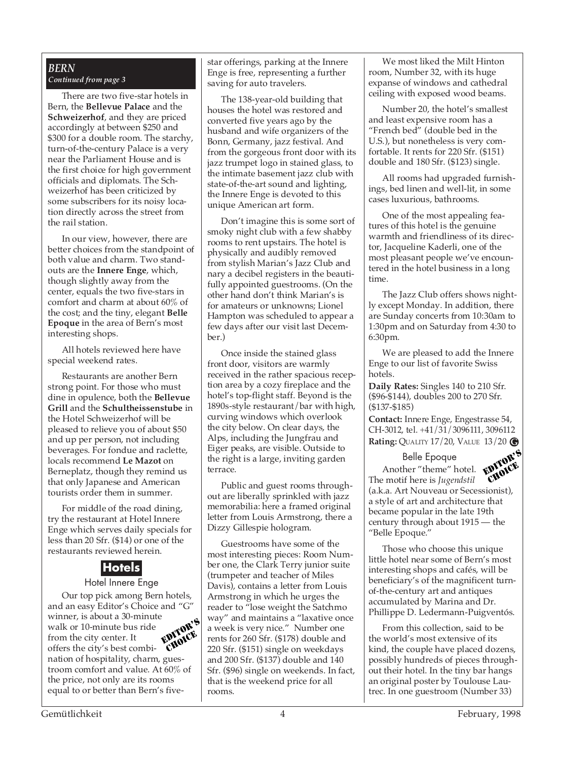#### *BERN Continued from page 3*

There are two five-star hotels in Bern, the **Bellevue Palace** and the **Schweizerhof**, and they are priced accordingly at between \$250 and \$300 for a double room. The starchy, turn-of-the-century Palace is a very near the Parliament House and is the first choice for high government officials and diplomats. The Schweizerhof has been criticized by some subscribers for its noisy location directly across the street from the rail station.

In our view, however, there are better choices from the standpoint of both value and charm. Two standouts are the **Innere Enge**, which, though slightly away from the center, equals the two five-stars in comfort and charm at about 60% of the cost; and the tiny, elegant **Belle Epoque** in the area of Bern's most interesting shops.

All hotels reviewed here have special weekend rates.

Restaurants are another Bern strong point. For those who must dine in opulence, both the **Bellevue Grill** and the **Schultheissenstube** in the Hotel Schweizerhof will be pleased to relieve you of about \$50 and up per person, not including beverages. For fondue and raclette, locals recommend **Le Mazot** on Berneplatz, though they remind us that only Japanese and American tourists order them in summer.

For middle of the road dining, try the restaurant at Hotel Innere Enge which serves daily specials for less than 20 Sfr. (\$14) or one of the restaurants reviewed herein.

#### **Hotels** Hotel Innere Enge

Our top pick among Bern hotels, and an easy Editor's Choice and "G" winner, is about a 30-minute walk or 10-minute bus ride from the city center. It offers the city's best combination of hospitality, charm, guestroom comfort and value. At 60% of the price, not only are its rooms equal to or better than Bern's five-EDITOR'S CHOICE

star offerings, parking at the Innere Enge is free, representing a further saving for auto travelers.

The 138-year-old building that houses the hotel was restored and converted five years ago by the husband and wife organizers of the Bonn, Germany, jazz festival. And from the gorgeous front door with its jazz trumpet logo in stained glass, to the intimate basement jazz club with state-of-the-art sound and lighting, the Innere Enge is devoted to this unique American art form.

Don't imagine this is some sort of smoky night club with a few shabby rooms to rent upstairs. The hotel is physically and audibly removed from stylish Marian's Jazz Club and nary a decibel registers in the beautifully appointed guestrooms. (On the other hand don't think Marian's is for amateurs or unknowns; Lionel Hampton was scheduled to appear a few days after our visit last December.)

Once inside the stained glass front door, visitors are warmly received in the rather spacious reception area by a cozy fireplace and the hotel's top-flight staff. Beyond is the 1890s-style restaurant/bar with high, curving windows which overlook the city below. On clear days, the Alps, including the Jungfrau and Eiger peaks, are visible. Outside to the right is a large, inviting garden terrace.

Public and guest rooms throughout are liberally sprinkled with jazz memorabilia: here a framed original letter from Louis Armstrong, there a Dizzy Gillespie hologram.

Guestrooms have some of the most interesting pieces: Room Number one, the Clark Terry junior suite (trumpeter and teacher of Miles Davis), contains a letter from Louis Armstrong in which he urges the reader to "lose weight the Satchmo way" and maintains a "laxative once a week is very nice." Number one rents for 260 Sfr. (\$178) double and 220 Sfr. (\$151) single on weekdays and 200 Sfr. (\$137) double and 140 Sfr. (\$96) single on weekends. In fact, that is the weekend price for all rooms.

We most liked the Milt Hinton room, Number 32, with its huge expanse of windows and cathedral ceiling with exposed wood beams.

Number 20, the hotel's smallest and least expensive room has a "French bed" (double bed in the U.S.), but nonetheless is very comfortable. It rents for 220 Sfr. (\$151) double and 180 Sfr. (\$123) single.

All rooms had upgraded furnishings, bed linen and well-lit, in some cases luxurious, bathrooms.

One of the most appealing features of this hotel is the genuine warmth and friendliness of its director, Jacqueline Kaderli, one of the most pleasant people we've encountered in the hotel business in a long time.

The Jazz Club offers shows nightly except Monday. In addition, there are Sunday concerts from 10:30am to 1:30pm and on Saturday from 4:30 to 6:30pm.

We are pleased to add the Innere Enge to our list of favorite Swiss hotels.

**Daily Rates:** Singles 140 to 210 Sfr. (\$96-\$144), doubles 200 to 270 Sfr. (\$137-\$185)

**Contact:** Innere Enge, Engestrasse 54, CH-3012, tel. +41/31/3096111, 3096112 **Rating:** QUALITY 17/20, VALUE 13/20 **G**

Belle Epoque



Another "theme" hotel. The motif here is *Jugendstil* (a.k.a. Art Nouveau or Secessionist), a style of art and architecture that became popular in the late 19th century through about 1915 — the "Belle Epoque." CHOICE

Those who choose this unique little hotel near some of Bern's most interesting shops and cafés, will be beneficiary's of the magnificent turnof-the-century art and antiques accumulated by Marina and Dr. Phillippe D. Ledermann-Puigventós.

From this collection, said to be the world's most extensive of its kind, the couple have placed dozens, possibly hundreds of pieces throughout their hotel. In the tiny bar hangs an original poster by Toulouse Lautrec. In one guestroom (Number 33)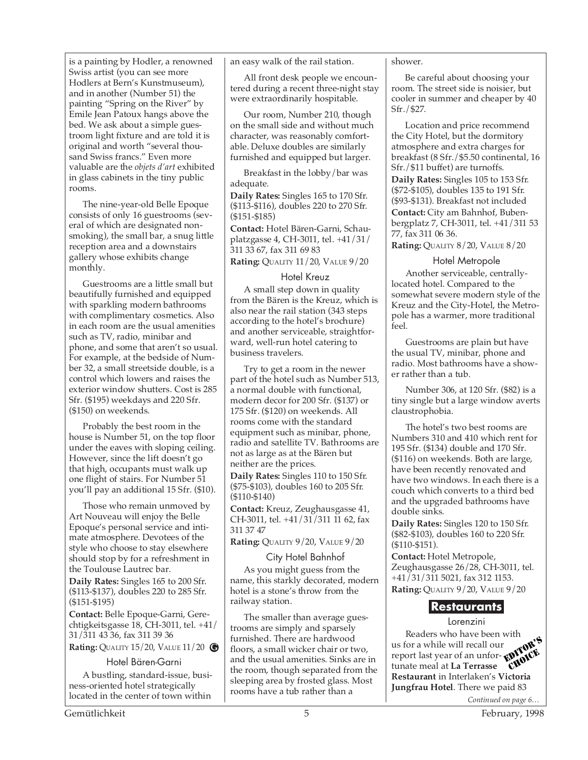is a painting by Hodler, a renowned Swiss artist (you can see more Hodlers at Bern's Kunstmuseum), and in another (Number 51) the painting "Spring on the River" by Emile Jean Patoux hangs above the bed. We ask about a simple guestroom light fixture and are told it is original and worth "several thousand Swiss francs." Even more valuable are the *objets d'art* exhibited in glass cabinets in the tiny public rooms.

The nine-year-old Belle Epoque consists of only 16 guestrooms (several of which are designated nonsmoking), the small bar, a snug little reception area and a downstairs gallery whose exhibits change monthly.

Guestrooms are a little small but beautifully furnished and equipped with sparkling modern bathrooms with complimentary cosmetics. Also in each room are the usual amenities such as TV, radio, minibar and phone, and some that aren't so usual. For example, at the bedside of Number 32, a small streetside double, is a control which lowers and raises the exterior window shutters. Cost is 285 Sfr. (\$195) weekdays and 220 Sfr. (\$150) on weekends.

Probably the best room in the house is Number 51, on the top floor under the eaves with sloping ceiling. However, since the lift doesn't go that high, occupants must walk up one flight of stairs. For Number 51 you'll pay an additional 15 Sfr. (\$10).

Those who remain unmoved by Art Nouveau will enjoy the Belle Epoque's personal service and intimate atmosphere. Devotees of the style who choose to stay elsewhere should stop by for a refreshment in the Toulouse Lautrec bar.

**Daily Rates:** Singles 165 to 200 Sfr. (\$113-\$137), doubles 220 to 285 Sfr. (\$151-\$195)

**Contact:** Belle Epoque-Garni, Gerechtigkeitsgasse 18, CH-3011, tel. +41/ 31/311 43 36, fax 311 39 36

**Rating:** QUALITY 15/20, VALUE 11/20 **G**

#### Hotel Bären-Garni

A bustling, standard-issue, business-oriented hotel strategically located in the center of town within

an easy walk of the rail station.

All front desk people we encountered during a recent three-night stay were extraordinarily hospitable.

Our room, Number 210, though on the small side and without much character, was reasonably comfortable. Deluxe doubles are similarly furnished and equipped but larger.

Breakfast in the lobby/bar was adequate.

**Daily Rates:** Singles 165 to 170 Sfr. (\$113-\$116), doubles 220 to 270 Sfr. (\$151-\$185)

**Contact:** Hotel Bären-Garni, Schauplatzgasse 4, CH-3011, tel. +41/31/ 311 33 67, fax 311 69 83

**Rating:** QUALITY 11/20, VALUE 9/20

#### Hotel Kreuz

A small step down in quality from the Bären is the Kreuz, which is also near the rail station (343 steps according to the hotel's brochure) and another serviceable, straightforward, well-run hotel catering to business travelers.

Try to get a room in the newer part of the hotel such as Number 513, a normal double with functional, modern decor for 200 Sfr. (\$137) or 175 Sfr. (\$120) on weekends. All rooms come with the standard equipment such as minibar, phone, radio and satellite TV. Bathrooms are not as large as at the Bären but neither are the prices.

**Daily Rates:** Singles 110 to 150 Sfr. (\$75-\$103), doubles 160 to 205 Sfr. (\$110-\$140)

**Contact:** Kreuz, Zeughausgasse 41, CH-3011, tel. +41/31/311 11 62, fax 311 37 47

**Rating:** QUALITY 9/20, VALUE 9/20

#### City Hotel Bahnhof

As you might guess from the name, this starkly decorated, modern hotel is a stone's throw from the railway station.

The smaller than average guestrooms are simply and sparsely furnished. There are hardwood floors, a small wicker chair or two, and the usual amenities. Sinks are in the room, though separated from the sleeping area by frosted glass. Most rooms have a tub rather than a

shower.

Be careful about choosing your room. The street side is noisier, but cooler in summer and cheaper by 40 Sfr./\$27.

Location and price recommend the City Hotel, but the dormitory atmosphere and extra charges for breakfast (8 Sfr./\$5.50 continental, 16 Sfr./\$11 buffet) are turnoffs.

**Daily Rates:** Singles 105 to 153 Sfr. (\$72-\$105), doubles 135 to 191 Sfr. (\$93-\$131). Breakfast not included

**Contact:** City am Bahnhof, Bubenbergplatz 7, CH-3011, tel. +41/311 53 77, fax 311 06 36.

**Rating:** QUALITY 8/20, VALUE 8/20

#### Hotel Metropole

Another serviceable, centrallylocated hotel. Compared to the somewhat severe modern style of the Kreuz and the City-Hotel, the Metropole has a warmer, more traditional feel.

Guestrooms are plain but have the usual TV, minibar, phone and radio. Most bathrooms have a shower rather than a tub.

Number 306, at 120 Sfr. (\$82) is a tiny single but a large window averts claustrophobia.

The hotel's two best rooms are Numbers 310 and 410 which rent for 195 Sfr. (\$134) double and 170 Sfr. (\$116) on weekends. Both are large, have been recently renovated and have two windows. In each there is a couch which converts to a third bed and the upgraded bathrooms have double sinks.

**Daily Rates:** Singles 120 to 150 Sfr. (\$82-\$103), doubles 160 to 220 Sfr. (\$110-\$151).

**Contact:** Hotel Metropole, Zeughausgasse 26/28, CH-3011, tel. +41/31/311 5021, fax 312 1153. **Rating:** QUALITY 9/20, VALUE 9/20

#### **Restaurants**

Lorenzini

Readers who have been with us for a while will recall our report last year of an unfortunate meal at **La Terrasse Restaurant in Interlate Restaurant** in Interlate **CHOICE Jungfrau Hotel**. There we paid 83 EDITOR'S CHOICE

*Continued on page 6…*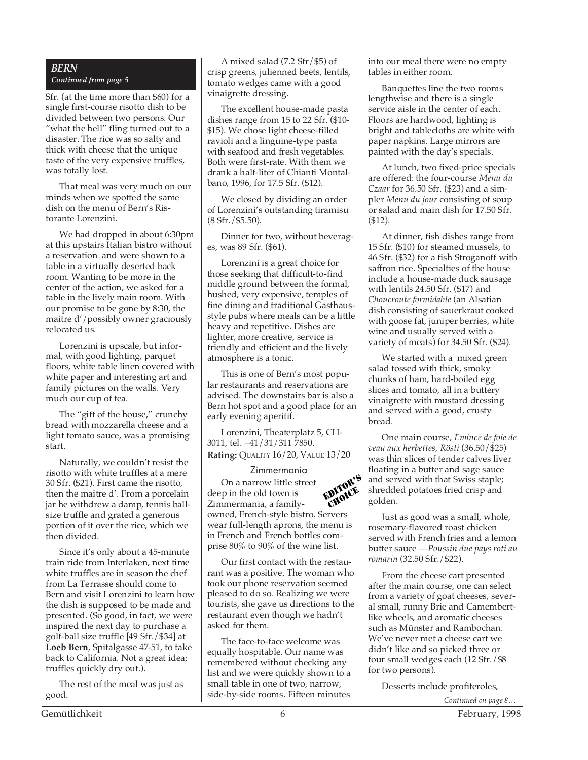#### *BERN Continued from page 5*

Sfr. (at the time more than \$60) for a single first-course risotto dish to be divided between two persons. Our "what the hell" fling turned out to a disaster. The rice was so salty and thick with cheese that the unique taste of the very expensive truffles, was totally lost.

That meal was very much on our minds when we spotted the same dish on the menu of Bern's Ristorante Lorenzini.

We had dropped in about 6:30pm at this upstairs Italian bistro without a reservation and were shown to a table in a virtually deserted back room. Wanting to be more in the center of the action, we asked for a table in the lively main room. With our promise to be gone by 8:30, the maitre d'/possibly owner graciously relocated us.

Lorenzini is upscale, but informal, with good lighting, parquet floors, white table linen covered with white paper and interesting art and family pictures on the walls. Very much our cup of tea.

The "gift of the house," crunchy bread with mozzarella cheese and a light tomato sauce, was a promising start.

Naturally, we couldn't resist the risotto with white truffles at a mere 30 Sfr. (\$21). First came the risotto, then the maitre d'. From a porcelain jar he withdrew a damp, tennis ballsize truffle and grated a generous portion of it over the rice, which we then divided.

Since it's only about a 45-minute train ride from Interlaken, next time white truffles are in season the chef from La Terrasse should come to Bern and visit Lorenzini to learn how the dish is supposed to be made and presented. (So good, in fact, we were inspired the next day to purchase a golf-ball size truffle [49 Sfr./\$34] at **Loeb Bern**, Spitalgasse 47-51, to take back to California. Not a great idea; truffles quickly dry out.).

The rest of the meal was just as good.

A mixed salad (7.2 Sfr/\$5) of crisp greens, julienned beets, lentils, tomato wedges came with a good vinaigrette dressing.

The excellent house-made pasta dishes range from 15 to 22 Sfr. (\$10- \$15). We chose light cheese-filled ravioli and a linguine-type pasta with seafood and fresh vegetables. Both were first-rate. With them we drank a half-liter of Chianti Montalbano, 1996, for 17.5 Sfr. (\$12).

We closed by dividing an order of Lorenzini's outstanding tiramisu (8 Sfr./\$5.50).

Dinner for two, without beverages, was 89 Sfr. (\$61).

Lorenzini is a great choice for those seeking that difficult-to-find middle ground between the formal, hushed, very expensive, temples of fine dining and traditional Gasthausstyle pubs where meals can be a little heavy and repetitive. Dishes are lighter, more creative, service is friendly and efficient and the lively atmosphere is a tonic.

This is one of Bern's most popular restaurants and reservations are advised. The downstairs bar is also a Bern hot spot and a good place for an early evening aperitif.

Lorenzini, Theaterplatz 5, CH-3011, tel. +41/31/311 7850. **Rating:** QUALITY 16/20, VALUE 13/20

#### Zimmermania

On a narrow little street deep in the old town is Zimmermania, a familyowned, French-style bistro. Servers wear full-length aprons, the menu is in French and French bottles comprise 80% to 90% of the wine list.

Our first contact with the restaurant was a positive. The woman who took our phone reservation seemed pleased to do so. Realizing we were tourists, she gave us directions to the restaurant even though we hadn't asked for them.

The face-to-face welcome was equally hospitable. Our name was remembered without checking any list and we were quickly shown to a small table in one of two, narrow, side-by-side rooms. Fifteen minutes

into our meal there were no empty tables in either room.

Banquettes line the two rooms lengthwise and there is a single service aisle in the center of each. Floors are hardwood, lighting is bright and tablecloths are white with paper napkins. Large mirrors are painted with the day's specials.

At lunch, two fixed-price specials are offered: the four-course *Menu du Czaar* for 36.50 Sfr. (\$23) and a simpler *Menu du jour* consisting of soup or salad and main dish for 17.50 Sfr. (\$12).

At dinner, fish dishes range from 15 Sfr. (\$10) for steamed mussels, to 46 Sfr. (\$32) for a fish Stroganoff with saffron rice. Specialties of the house include a house-made duck sausage with lentils 24.50 Sfr. (\$17) and *Choucroute formidable* (an Alsatian dish consisting of sauerkraut cooked with goose fat, juniper berries, white wine and usually served with a variety of meats) for 34.50 Sfr. (\$24).

We started with a mixed green salad tossed with thick, smoky chunks of ham, hard-boiled egg slices and tomato, all in a buttery vinaigrette with mustard dressing and served with a good, crusty bread.

One main course, *Emince de foie de veau aux herbettes, Rösti* (36.50/\$25) was thin slices of tender calves liver floating in a butter and sage sauce and served with that Swiss staple; shredded potatoes fried crisp and golden.

Just as good was a small, whole, rosemary-flavored roast chicken served with French fries and a lemon butter sauce —*Poussin due pays roti au romarin* (32.50 Sfr./\$22).

From the cheese cart presented after the main course, one can select from a variety of goat cheeses, several small, runny Brie and Camembertlike wheels, and aromatic cheeses such as Münster and Rambochan. We've never met a cheese cart we didn't like and so picked three or four small wedges each (12 Sfr./\$8 for two persons).

Desserts include profiteroles,

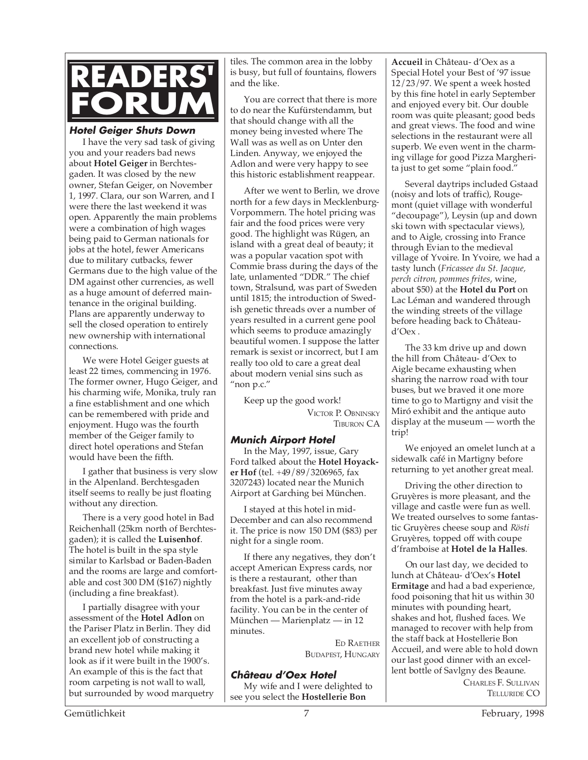

#### **Hotel Geiger Shuts Down**

I have the very sad task of giving you and your readers bad news about **Hotel Geiger** in Berchtesgaden. It was closed by the new owner, Stefan Geiger, on November 1, 1997. Clara, our son Warren, and I were there the last weekend it was open. Apparently the main problems were a combination of high wages being paid to German nationals for jobs at the hotel, fewer Americans due to military cutbacks, fewer Germans due to the high value of the DM against other currencies, as well as a huge amount of deferred maintenance in the original building. Plans are apparently underway to sell the closed operation to entirely new ownership with international connections.

We were Hotel Geiger guests at least 22 times, commencing in 1976. The former owner, Hugo Geiger, and his charming wife, Monika, truly ran a fine establishment and one which can be remembered with pride and enjoyment. Hugo was the fourth member of the Geiger family to direct hotel operations and Stefan would have been the fifth.

I gather that business is very slow in the Alpenland. Berchtesgaden itself seems to really be just floating without any direction.

There is a very good hotel in Bad Reichenhall (25km north of Berchtesgaden); it is called the **Luisenhof**. The hotel is built in the spa style similar to Karlsbad or Baden-Baden and the rooms are large and comfortable and cost 300 DM (\$167) nightly (including a fine breakfast).

I partially disagree with your assessment of the **Hotel Adlon** on the Pariser Platz in Berlin. They did an excellent job of constructing a brand new hotel while making it look as if it were built in the 1900's. An example of this is the fact that room carpeting is not wall to wall, but surrounded by wood marquetry

tiles. The common area in the lobby is busy, but full of fountains, flowers and the like.

You are correct that there is more to do near the Kufürstendamm, but that should change with all the money being invested where The Wall was as well as on Unter den Linden. Anyway, we enjoyed the Adlon and were very happy to see this historic establishment reappear.

After we went to Berlin, we drove north for a few days in Mecklenburg-Vorpommern. The hotel pricing was fair and the food prices were very good. The highlight was Rügen, an island with a great deal of beauty; it was a popular vacation spot with Commie brass during the days of the late, unlamented "DDR." The chief town, Stralsund, was part of Sweden until 1815; the introduction of Swedish genetic threads over a number of years resulted in a current gene pool which seems to produce amazingly beautiful women. I suppose the latter remark is sexist or incorrect, but I am really too old to care a great deal about modern venial sins such as "non p.c."

Keep up the good work! VICTOR P. OBNINSKY TIBURON CA

#### **Munich Airport Hotel**

In the May, 1997, issue, Gary Ford talked about the **Hotel Hoyacker Hof** (tel. +49/89/3206965, fax 3207243) located near the Munich Airport at Garching bei München.

I stayed at this hotel in mid-December and can also recommend it. The price is now 150 DM (\$83) per night for a single room.

If there any negatives, they don't accept American Express cards, nor is there a restaurant, other than breakfast. Just five minutes away from the hotel is a park-and-ride facility. You can be in the center of München — Marienplatz — in 12 minutes.

> ED RAETHER BUDAPEST, HUNGARY

#### **Château d'Oex Hotel**

My wife and I were delighted to see you select the **Hostellerie Bon**

**Accueil** in Château- d'Oex as a Special Hotel your Best of '97 issue 12/23/97. We spent a week hosted by this fine hotel in early September and enjoyed every bit. Our double room was quite pleasant; good beds and great views. The food and wine selections in the restaurant were all superb. We even went in the charming village for good Pizza Margherita just to get some "plain food."

Several daytrips included Gstaad (noisy and lots of traffic), Rougemont (quiet village with wonderful "decoupage"), Leysin (up and down ski town with spectacular views), and to Aigle, crossing into France through Evian to the medieval village of Yvoire. In Yvoire, we had a tasty lunch (*Fricassee du St. Jacque, perch citron, pommes frites*, wine, about \$50) at the **Hotel du Port** on Lac Léman and wandered through the winding streets of the village before heading back to Châteaud'Oex .

The 33 km drive up and down the hill from Château- d'Oex to Aigle became exhausting when sharing the narrow road with tour buses, but we braved it one more time to go to Martigny and visit the Miró exhibit and the antique auto display at the museum — worth the trip!

We enjoyed an omelet lunch at a sidewalk café in Martigny before returning to yet another great meal.

Driving the other direction to Gruyères is more pleasant, and the village and castle were fun as well. We treated ourselves to some fantastic Gruyères cheese soup and *Rösti* Gruyères, topped off with coupe d'framboise at **Hotel de la Halles**.

On our last day, we decided to lunch at Château- d'Oex's **Hotel Ermitage** and had a bad experience, food poisoning that hit us within 30 minutes with pounding heart, shakes and hot, flushed faces. We managed to recover with help from the staff back at Hostellerie Bon Accueil, and were able to hold down our last good dinner with an excellent bottle of Savlgny des Beaune.

CHARLES F. SULLIVAN TELLURIDE CO